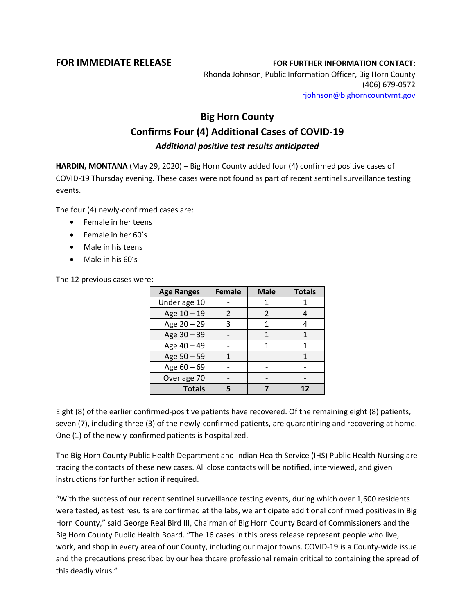## **FOR IMMEDIATE RELEASE FOR FURTHER INFORMATION CONTACT:**

Rhonda Johnson, Public Information Officer, Big Horn County (406) 679-0572 [rjohnson@bighorncountymt.gov](mailto:rjohnson@bighorncountymt.gov)

## **Big Horn County Confirms Four (4) Additional Cases of COVID-19** *Additional positive test results anticipated*

**HARDIN, MONTANA** (May 29, 2020) – Big Horn County added four (4) confirmed positive cases of COVID-19 Thursday evening. These cases were not found as part of recent sentinel surveillance testing events.

The four (4) newly-confirmed cases are:

- Female in her teens
- Female in her 60's
- Male in his teens
- Male in his 60's

The 12 previous cases were:

| <b>Age Ranges</b> | <b>Female</b> | <b>Male</b>    | <b>Totals</b> |
|-------------------|---------------|----------------|---------------|
| Under age 10      |               |                |               |
| Age 10 - 19       | $\mathcal{P}$ | $\mathfrak{p}$ |               |
| Age 20 - 29       | 3             | 1              |               |
| Age 30 - 39       |               | 1              |               |
| Age 40 - 49       |               |                |               |
| Age 50 - 59       |               |                |               |
| Age $60 - 69$     |               |                |               |
| Over age 70       |               |                |               |
| <b>Totals</b>     |               |                | 17            |

Eight (8) of the earlier confirmed-positive patients have recovered. Of the remaining eight (8) patients, seven (7), including three (3) of the newly-confirmed patients, are quarantining and recovering at home. One (1) of the newly-confirmed patients is hospitalized.

The Big Horn County Public Health Department and Indian Health Service (IHS) Public Health Nursing are tracing the contacts of these new cases. All close contacts will be notified, interviewed, and given instructions for further action if required.

"With the success of our recent sentinel surveillance testing events, during which over 1,600 residents were tested, as test results are confirmed at the labs, we anticipate additional confirmed positives in Big Horn County," said George Real Bird III, Chairman of Big Horn County Board of Commissioners and the Big Horn County Public Health Board. "The 16 cases in this press release represent people who live, work, and shop in every area of our County, including our major towns. COVID-19 is a County-wide issue and the precautions prescribed by our healthcare professional remain critical to containing the spread of this deadly virus."